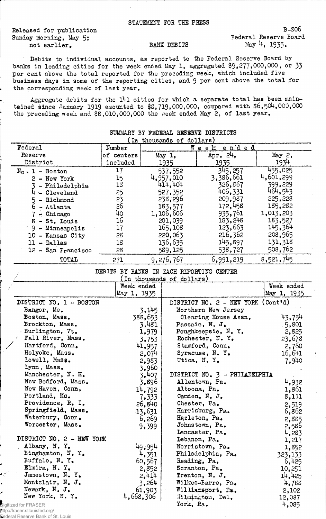Released for publication Sunday morning, May 5; not earlier.

B-S06 Federal Reserve Board May 4, 1935.

## BANK DEBITS

Debits to individual accounts, as reported to the Federal Reserve Board by banks in leading cities for the week ended May 1, aggregated  $$9,277,000,000$ , or 33 per cent above the total reported for the preceding week, which included five business days in some of the reporting cities, and 9 per cent above the total for the corresponding week of last year.

Aggregate debits for the 141 cities for which a separate total has been maintained since January 1919 amounted to \$8,719,000,000, compared with \$6,504,000,000 the preceding week and \$5,010,000,000 the week ended May 2, of last year.

| <i>I</i> the arrogramma AT<br>$\sim$ |            |            |             |           |  |
|--------------------------------------|------------|------------|-------------|-----------|--|
| Federal                              | Number     | Week ended |             |           |  |
| Reserve                              | of centers | May 1,     | Apr. $24$ , | May 2,    |  |
| District                             | included   | 1935       | 1935        | 1934      |  |
| $N_0$ . 1 - Boston                   | 17         | 537,552    | 345.257     | 455,025   |  |
| $2 - New York$                       | 15         | 4,957,010  | 3,386,661   | 4,601,299 |  |
| - Philadelphia                       | 13         | 414,404    | 326.867     | 399,229   |  |
| - Cleveland                          | 25         | 527,352    | 406,331     | 464,543   |  |
| - Richmond                           | 23         | 238,296    | 209,987     | 225,228   |  |
| 6<br>- Atlanta                       | 26         | 183,577    | 172,458     | 185,282   |  |
| $-$ Chicago                          | 40         | 1,106,606  | 935,761     | 1,013,203 |  |
| $8 - St.$ Louis                      | 16         | 201,039    | 183,248     | 183,527   |  |
| $9 -$ Minneapolis                    | 17         | 165,108    | 123,663     | 145,364   |  |
| 10 - Kansas City                     | 28         | 220,063    | 216,362     | 208,965   |  |
| $11 - Dallas$                        | 18         | 136,635    | 145,897     | 131,318   |  |
| $12$ - San Francisco                 | 28         | 589,125    | 538,727     | 508,762   |  |
| TOTAL                                | 271        | 9,276,767  | 6,991,219   | 8,521,745 |  |

## SUMMARY BY FEDERAL RESERVE DISTRICTS (In thousands of dollars)

|  |  | DEBITS BY BANKS IN EACH REPORTING CENTER |  |
|--|--|------------------------------------------|--|
|  |  |                                          |  |

|                           |             | In thousands of dollars)           |                     |
|---------------------------|-------------|------------------------------------|---------------------|
|                           | Week ended  |                                    | Week ended          |
|                           | May 1, 1935 |                                    | May 1, 1935         |
| DISTRICT NO. 1 - BOSTON   |             | DISTRICT NO. 2 - NEW YORK (Cont'd) |                     |
| Bangor, Me.               | 3,145       | Northern New Jersey                |                     |
| Boston, Mass.             | 388,653     | Clearing House Assn.               | 43,754              |
| Brockton, Mass.           | 3,481       | Passaic, N. J.                     | .5,801              |
| Burlington, Vt.           | 1,979       | Poughkeepsie, N.Y.                 | 2,825               |
| Fall River, Mass.         | 3,753       | Rochester, N.Y.                    | 23,678              |
| Hartford, Conn.           | 41,957      | Stamford, Conn.                    | 2,760               |
| Holyoke, Mass.            | 2,074       | Syracuse, N.Y.                     | $16,6$ <sup>1</sup> |
| Lowell, Mass.             | 2,983       | Utica, N.Y.                        | 7,940               |
| Lynn, Mass.               | 3,960       |                                    |                     |
| Manchester, N. H.         | 3,407       | DISTRICT NO. 3 - PHILADELPHIA      |                     |
| New Bedford, Mass.        | 3,896       | Allentown, Pa.                     | 4,932               |
| New Haven, Conn,          | 14,792      | Altoona, Pa.                       | 1,861               |
| Portland, Mo.             | 7,333       | Camden, N. J.                      | 8,111               |
| Providence, R. I.         | 26,840      | Chester, Pa.                       | 2,519               |
| Springfield, Mass.        | 13,631      | Harrisburg, Pa.                    | 6,862               |
| Waterbury, Conn.          | 6,269       | Hazleton, Pa.                      | 2,885               |
| Worcester, Mass.          | 9,399       | Johnstown, Pa.                     | 2,586               |
|                           |             | Lencaster, Pa.                     | 4,283               |
| DISTRICT NO. 2 - NEW YORK |             | Lebanon, Pa.                       | 1,217               |
| Albany, N.Y.              | 49,954      | Norristown, Pa.                    | 1,852               |
| Binghamton, N.Y.          | 4,351       | Philadelphia, Pa.                  | 323,133             |
| Buffalo, N.Y.             | 60,567      | Reading, Pa.                       | 6,425               |
| Elmira, N.Y.              | 2,852       | Scranton, Pa.                      | 10,251              |
| Jamestown, N. Y.          | 2,414       | Trenton, N. J.                     | 14,425              |
| Montclair, N. J.          | 3,264       | Wilkes-Barre, Pa.                  | 4,788               |
| Newark, N. J.             | 61,903      | Williamsport, Pa.                  | 2,102               |
| New York, N.Y.            | 4,668,306   | Milmington, Del.                   | 12,087              |
| Digitized for FRASER      |             | York, Pa.                          | 4,085               |

http://fraser.stlouisfed.org/ Federal Reserve Bank of St. Louis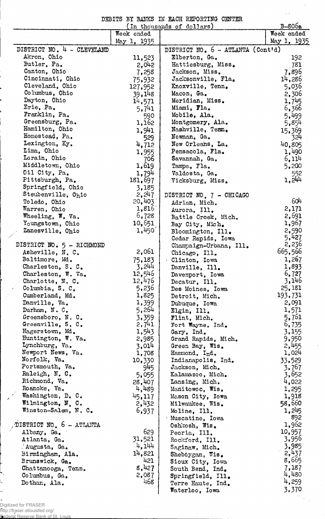DEBITS BY BANKS IN EACH REPOSTING. CENTER

 $\mathbf{v}$ 

 $\sim$   $\sim$ 

|                            |             | In thousands of dollars)            | <u>B-806a</u> |
|----------------------------|-------------|-------------------------------------|---------------|
|                            | Week ended  |                                     | Week ended    |
|                            | May 1, 1935 |                                     | May 1, 1935   |
| DISTRICT NO. 4 - CLEVELAND |             | DISTRICT NO. $6$ - ATLANTA (Contid) |               |
| Akron, Ohio                | 11,523      | Elberton, Ga.                       | 192           |
| Butler, Pa.                | 2,042       | Hattiesburg, Miss.                  | 781           |
| Canton, Ohio               | 7,258       | Jackson, Miss.                      | 7,896         |
| Cincinnati, Ohio           | 75,932      | Jacksonville, Fla.                  | 14,286        |
| Cleveland, Ohio            | 127,952     | Knoxville, Tenn.                    | 5,036         |
| Columbus, Ohio             | 39,148      | Macon, Ga.                          | 2,306         |
| Dayton, Ohio               |             | Meridian, Miss.                     | 1,745         |
| Erie, Pa.                  | 14,571      | Miami, Fla.                         |               |
| Franklin, Pa.              | 5,741       |                                     | 6,366         |
|                            | 590         | Mobile, Ala.                        | 5,499         |
| Greensburg, Pa.            | 1,162       | Montgomery, Ala.                    | 5,854         |
| Hamilton, Ohio             | 1,941       | Nashville, Temm.                    | 15,369        |
| Homestead, Pa.             | 529         | Newman, Ga.                         | 324           |
| Lexington, Ky.             | 4,712       | New Orleans, La.                    | 40.805        |
| Lima, Ohio                 | 1,955       | Pensacola, Fla.                     | 1,490         |
| Lorain, Ohio               | 706         | Savannah, Ga.                       | 6,114         |
| Middletown, Ohio           | 1,619       | Tampa, Fla.                         | 5,200         |
| Oil City, Pa.              | 1,794       | Valdosta, Ga.                       | 552           |
| Pittsburgh, Pa.            | 181,697     | Vicksburg, Miss.                    | 1,244         |
| Springfield, Ohio          | 3,185       |                                     |               |
| Steubenville, Ohio         | 2,247       | DISTRICT NO. 7 - CHICAGO            |               |
| Toledo, Ohio               | 20,403      | Adrian, Mich.                       | 604           |
| Warren, Ohio               | 1,816       | Aurora, Ill.                        | 2,171         |
| Wheeling, W. Va.           | 6,728       | Battle Creek, Mich.                 | 2,691         |
| Youngstown, Ohio           | 10,651      | Bay City, Mich.                     | 1,967         |
| Zanesville, Ohio           | 1,450       | Bloomington, Ill.                   | 2,590         |
|                            |             | Cedar Rapids, Iowa                  | 5,427         |
| DISTRICT NO. 5 - RICHMOND  |             |                                     | 2,236         |
| Asheville, N. C.           | 2,061       | Champaign-Urbana, Ill.              | 665,566       |
| Baltimore, Md.             | 75,183      | Chicago, Ill.                       | 1,267         |
| Charleston, S. C.          | 3,244       | Clinton, Iowa                       | 1,893         |
|                            |             | Danville, Ill.                      |               |
| Charleston, W. Va.         | 12,546      | Davenport, Iowa                     | 6,727         |
| Charlotte, N. C.           | 12,476      | Decatur, Ill.                       | 3,146         |
| Columbia, S. C.            | 5,236       | Des Moines, Iowa                    | 25,181        |
| Cumberland, Md.            | 1,825       | Detroit, Mich.                      | 193,731       |
| Danville, Va.              | 1,399       | Dubuque, Iowa                       | 2,091         |
| Durham, N.C.               | 5,264       | Elgin, Ill.                         | 1,571         |
| Greensboro, N. C.          | 3,359       | Flint, Mich.                        | 5,761         |
| Greenville, S. C.          | 2,741       | Fort Wayne, Ind.                    | 6,735         |
| Hagerstown, Md.            | 1,543       | Gary, Ind.                          | 3,155         |
| Huntington, W. Va.         | 2,985       | Grand Rapids, Mich.                 | 9,950         |
| Lynchburg, Va.             | 3,014       | Green Bay, Wis.                     | 2,455         |
| Newport News, Va.          | 1,708       | Hammond, Ind.                       | 1,024         |
| Norfolk, Va.               | 10,330      | Indianapolis, Ind.                  | 33,529        |
| Portsmouth, Va.            | 945         | Jackson, Mich.                      | 3,767         |
| Raleigh, N. C.             | 5,055       | Kalamazoo, Mich.                    | 3,652         |
| Richmond, Va.              | 28,407      | Lansing, Mich.                      | 4,022         |
| Roanoke, Va.               | 4,489       | Manitowoc, Wis.                     | 1,295         |
| Washington, D. C.          | 45,117      | Mason City, Iowa                    | 1,918         |
| Wilmington, N. C.          | 2,432       | Milwaukee, Wis.                     | 58,560        |
| Winston-Salem, N. C.       | 6,937       | Moline, Ill.                        | 1,245         |
|                            |             | Muscatine, Iowa                     | 892           |
| DISTRICT NO. 6 - ATLANTA   |             |                                     | 1,962         |
| Albany, Ga.                | 629         | Oshkosh, Wis.                       | 10,957        |
|                            |             | Peoria, Ill.                        | 3,956         |
| Atlanta, Ga.               | 31,521      | Rockford, Ill.                      |               |
| Augusta, Ga.               | 4,144       | Saginaw, Mich.                      | 3,985         |
| Birmingham, Ala.           | 14,821      | Sheboygan, Wis.                     | 2,437         |
| Brunswick, Ga.             | 421         | Sioux City, Iowa                    | 8,665         |
| Chattanooga, Tenn.         | 8,427       | South Bend, Ind.                    | 7,187         |
| Columbus, Ga.              | 2,087       | Springfield, Ill.                   | 4,480         |
| Dothan, Ala.               | 468         | Terre Haute, Ind.                   | 4,259         |
|                            |             | Waterloo, Iowa                      | 3,370         |

 $\frac{1}{2}$ 

 $\overline{a}$ ŗ.

http://fraser.stlouisfed.org/ Federal Reserve Bank of St. Louis